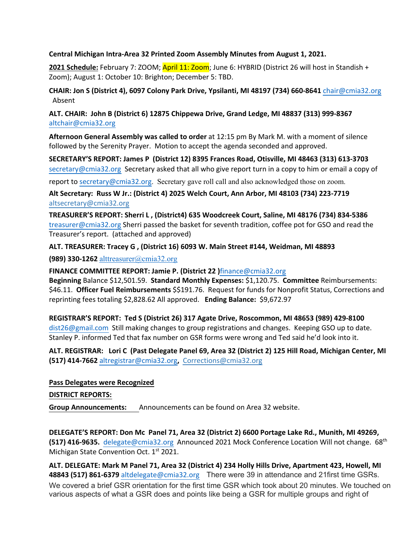### **Central Michigan Intra-Area 32 Printed Zoom Assembly Minutes from August 1, 2021.**

2021 Schedule: February 7: ZOOM; April 11: Zoom; June 6: HYBRID (District 26 will host in Standish + Zoom); August 1: October 10: Brighton; December 5: TBD.

**CHAIR: Jon S (District 4), 6097 Colony Park Drive, Ypsilanti, MI 48197 (734) 660-8641** chair@cmia32.org Absent

**ALT. CHAIR: John B (District 6) 12875 Chippewa Drive, Grand Ledge, MI 48837 (313) 999-8367**  altchair@cmia32.org

**Afternoon General Assembly was called to order** at 12:15 pm By Mark M. with a moment of silence followed by the Serenity Prayer. Motion to accept the agenda seconded and approved.

**SECRETARY'S REPORT: James P (District 12) 8395 Frances Road, Otisville, MI 48463 (313) 613-3703**  secretary@cmia32.org Secretary asked that all who give report turn in a copy to him or email a copy of

report to secretary@cmia32.org. Secretary gave roll call and also acknowledged those on zoom.

**Alt Secretary: Russ W Jr.: (District 4) 2025 Welch Court, Ann Arbor, MI 48103 (734) 223-7719**  altsecretary@cmia32.org

**TREASURER'S REPORT: Sherri L , (District4) 635 Woodcreek Court, Saline, MI 48176 (734) 834-5386**  treasurer@cmia32.org Sherri passed the basket for seventh tradition, coffee pot for GSO and read the Treasurer's report. (attached and approved)

**ALT. TREASURER: Tracey G , (District 16) 6093 W. Main Street #144, Weidman, MI 48893** 

**(989) 330-1262** alttreasurer@cmia32.org

**FINANCE COMMITTEE REPORT: Jamie P. (District 22 )**finance@cmia32.org

**Beginning** Balance \$12,501.59. **Standard Monthly Expenses:** \$1,120.75. **Committee** Reimbursements: \$46.11. **Officer Fuel Reimbursements** \$\$191.76. Request for funds for Nonprofit Status, Corrections and reprinting fees totaling \$2,828.62 All approved. **Ending Balance:** \$9,672.97

**REGISTRAR'S REPORT: Ted S (District 26) 317 Agate Drive, Roscommon, MI 48653 (989) 429-8100**  dist26@gmail.com Still making changes to group registrations and changes. Keeping GSO up to date. Stanley P. informed Ted that fax number on GSR forms were wrong and Ted said he'd look into it.

**ALT. REGISTRAR: Lori C (Past Delegate Panel 69, Area 32 (District 2) 125 Hill Road, Michigan Center, MI (517) 414-7662** altregistrar@cmia32.org**,** Corrections@cmia32.org

### **Pass Delegates were Recognized**

#### **DISTRICT REPORTS:**

**Group Announcements:** Announcements can be found on Area 32 website.

**DELEGATE'S REPORT: Don Mc Panel 71, Area 32 (District 2) 6600 Portage Lake Rd., Munith, MI 49269, (517) 416-9635.** delegate@cmia32.org Announced 2021 Mock Conference Location Will not change. 68th Michigan State Convention Oct. 1<sup>st</sup> 2021.

**ALT. DELEGATE: Mark M Panel 71, Area 32 (District 4) 234 Holly Hills Drive, Apartment 423, Howell, MI 48843 (517) 861-6379** altdelegate@cmia32.orgThere were 39 in attendance and 21first time GSRs. We covered a brief GSR orientation for the first time GSR which took about 20 minutes. We touched on various aspects of what a GSR does and points like being a GSR for multiple groups and right of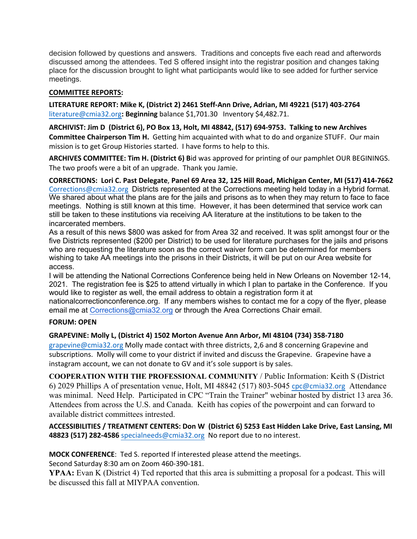decision followed by questions and answers. Traditions and concepts five each read and afterwords discussed among the attendees. Ted S offered insight into the registrar position and changes taking place for the discussion brought to light what participants would like to see added for further service meetings.

# **COMMITTEE REPORTS:**

**LITERATURE REPORT: Mike K, (District 2) 2461 Steff-Ann Drive, Adrian, MI 49221 (517) 403-2764**  literature@cmia32.org**: Beginning** balance \$1,701.30 Inventory \$4,482.71.

**ARCHIVIST: Jim D (District 6), PO Box 13, Holt, MI 48842, (517) 694-9753. Talking to new Archives Committee Chairperson Tim H.** Getting him acquainted with what to do and organize STUFF. Our main mission is to get Group Histories started. I have forms to help to this.

**ARCHIVES COMMITTEE: Tim H. (District 6) B**id was approved for printing of our pamphlet OUR BEGININGS. The two proofs were a bit of an upgrade. Thank you Jamie.

**CORRECTIONS: Lori C. Past Delegate**, **Panel 69 Area 32, 125 Hill Road, Michigan Center, MI (517) 414-7662** Corrections@cmia32.org Districts represented at the Corrections meeting held today in a Hybrid format. We shared about what the plans are for the jails and prisons as to when they may return to face to face meetings. Nothing is still known at this time. However, it has been determined that service work can still be taken to these institutions via receiving AA literature at the institutions to be taken to the incarcerated members.

As a result of this news \$800 was asked for from Area 32 and received. It was split amongst four or the five Districts represented (\$200 per District) to be used for literature purchases for the jails and prisons who are requesting the literature soon as the correct waiver form can be determined for members wishing to take AA meetings into the prisons in their Districts, it will be put on our Area website for access.

I will be attending the National Corrections Conference being held in New Orleans on November 12-14, 2021. The registration fee is \$25 to attend virtually in which I plan to partake in the Conference. If you would like to register as well, the email address to obtain a registration form it at

nationalcorrectionconference.org. If any members wishes to contact me for a copy of the flyer, please email me at Corrections@cmia32.org or through the Area Corrections Chair email.

# **FORUM: OPEN**

# **GRAPEVINE: Molly L, (District 4) 1502 Morton Avenue Ann Arbor, MI 48104 (734) 358-7180**

grapevine@cmia32.org Molly made contact with three districts, 2,6 and 8 concerning Grapevine and subscriptions. Molly will come to your district if invited and discuss the Grapevine. Grapevine have a instagram account, we can not donate to GV and it's sole support is by sales.

**COOPERATION WITH THE PROFESSIONAL COMMUNITY** / Public Information: Keith S (District 6) 2029 Phillips A of presentation venue, Holt, MI 48842 (517) 803-5045 cpc@cmia32.org Attendance was minimal. Need Help. Participated in CPC "Train the Trainer" webinar hosted by district 13 area 36. Attendees from across the U.S. and Canada. Keith has copies of the powerpoint and can forward to available district committees intrested.

**ACCESSIBILITIES / TREATMENT CENTERS: Don W (District 6) 5253 East Hidden Lake Drive, East Lansing, MI 48823 (517) 282-4586** specialneeds@cmia32.org No report due to no interest.

**MOCK CONFERENCE**: Ted S. reported If interested please attend the meetings.

Second Saturday 8:30 am on Zoom 460-390-181.

**YPAA:** Evan K (District 4) Ted reported that this area is submitting a proposal for a podcast. This will be discussed this fall at MIYPAA convention.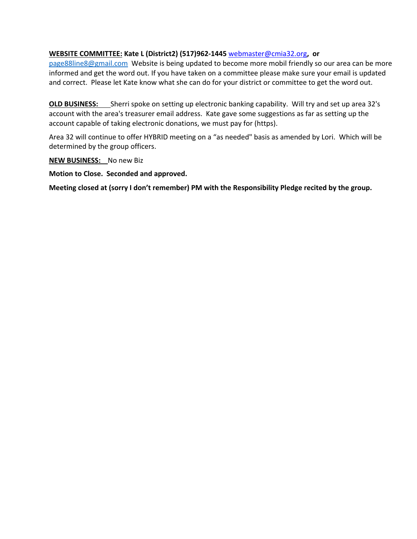### **WEBSITE COMMITTEE: Kate L (District2) (517)962-1445** webmaster@cmia32.org**, or**

page88line8@gmail.comWebsite is being updated to become more mobil friendly so our area can be more informed and get the word out. If you have taken on a committee please make sure your email is updated and correct. Please let Kate know what she can do for your district or committee to get the word out.

**OLD BUSINESS:** Sherri spoke on setting up electronic banking capability. Will try and set up area 32's account with the area's treasurer email address. Kate gave some suggestions as far as setting up the account capable of taking electronic donations, we must pay for (https).

Area 32 will continue to offer HYBRID meeting on a "as needed" basis as amended by Lori. Which will be determined by the group officers.

**NEW BUSINESS:** No new Biz

**Motion to Close. Seconded and approved.** 

**Meeting closed at (sorry I don't remember) PM with the Responsibility Pledge recited by the group.**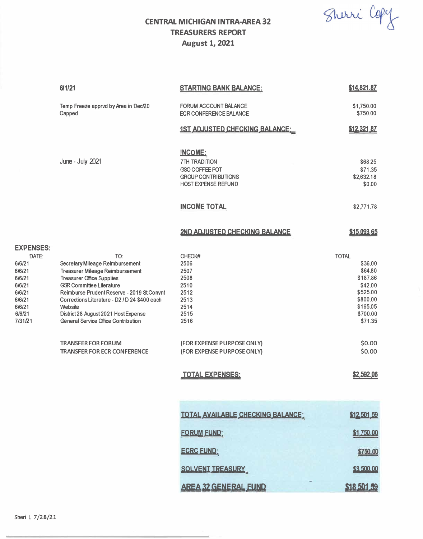Sherri Copy

# **CENTRAL MICHIGAN INTRA-AREA 32 TREASURERS REPORT August 1, 2021**

|                                                                                                                      | 61/21                                                                                                                                                                                                                                                                                                                                                                                                               | <b>STARTING BANK BALANCE:</b>                                                                                                                                        | \$14,821.87                                                                                                                                            |
|----------------------------------------------------------------------------------------------------------------------|---------------------------------------------------------------------------------------------------------------------------------------------------------------------------------------------------------------------------------------------------------------------------------------------------------------------------------------------------------------------------------------------------------------------|----------------------------------------------------------------------------------------------------------------------------------------------------------------------|--------------------------------------------------------------------------------------------------------------------------------------------------------|
|                                                                                                                      |                                                                                                                                                                                                                                                                                                                                                                                                                     |                                                                                                                                                                      |                                                                                                                                                        |
|                                                                                                                      | Temp Freeze apprvd by Area in Dec/20<br>Capped                                                                                                                                                                                                                                                                                                                                                                      | <b>FORUM ACCOUNT BALANCE</b><br><b>ECR CONFERENCE BALANCE</b>                                                                                                        | \$1,750.00<br>\$750.00                                                                                                                                 |
|                                                                                                                      |                                                                                                                                                                                                                                                                                                                                                                                                                     | <b>1ST ADJUSTED CHECKING BALANCE:</b>                                                                                                                                | \$12,321.87                                                                                                                                            |
|                                                                                                                      | June - July 2021                                                                                                                                                                                                                                                                                                                                                                                                    | <b>INCOME:</b><br><b>7TH TRADITION</b><br>GSO COFFEE POT<br><b>GROUP CONTRIBUTIONS</b><br><b>HOST EXPENSE REFUND</b>                                                 | \$68.25<br>\$71.35<br>\$2,632.18<br>\$0.00                                                                                                             |
|                                                                                                                      |                                                                                                                                                                                                                                                                                                                                                                                                                     | <b>INCOME TOTAL</b>                                                                                                                                                  | \$2,771.78                                                                                                                                             |
|                                                                                                                      |                                                                                                                                                                                                                                                                                                                                                                                                                     | 2ND ADJUSTED CHECKING BALANCE                                                                                                                                        | \$15,093,65                                                                                                                                            |
| <b>EXPENSES:</b><br>DATE:<br>6/6/21<br>6/6/21<br>6/6/21<br>6/6/21<br>6/6/21<br>6/6/21<br>6/6/21<br>6/6/21<br>7/31/21 | TO:<br>Secretary Mileage Reimbursement<br><b>Treasurer Mileage Reimbursement</b><br><b>Treasurer Office Supplies</b><br><b>GSR Committee Literature</b><br>Reimburse Prudent Reserve - 2019 St.Convnt<br>Corrections Literature - D2 / D 24 \$400 each<br>Website<br>District 28 August 2021 Host Expense<br>General Service Office Contribution<br><b>TRANSFER FOR FORUM</b><br><b>TRANSFER FOR ECR CONFERENCE</b> | CHECK#<br>2506<br>2507<br>2508<br>2510<br>2512<br>2513<br>2514<br>2515<br>2516<br>(FOR EXPENSE PURPOSE ONLY)<br>(FOR EXPENSE PURPOSE ONLY)<br><b>TOTAL EXPENSES:</b> | <b>TOTAL</b><br>\$36.00<br>\$64.80<br>\$187.86<br>\$42.00<br>\$525.00<br>\$800.00<br>\$165.05<br>\$700.00<br>\$71.35<br>\$0.00<br>\$0.00<br>\$2,592,06 |
|                                                                                                                      |                                                                                                                                                                                                                                                                                                                                                                                                                     | TOTAL AVAILABLE CHECKING BALANCE:<br><b>FORUM FUND:</b><br><b>ECRC FUND:</b>                                                                                         | \$12,501,59<br>\$1,750.00<br>\$750.00                                                                                                                  |
|                                                                                                                      |                                                                                                                                                                                                                                                                                                                                                                                                                     | SOLVENT TREASURY                                                                                                                                                     | \$3,500,00                                                                                                                                             |
|                                                                                                                      |                                                                                                                                                                                                                                                                                                                                                                                                                     | <b>AREA 32 GENERAL FUND</b>                                                                                                                                          | \$18,501.59                                                                                                                                            |